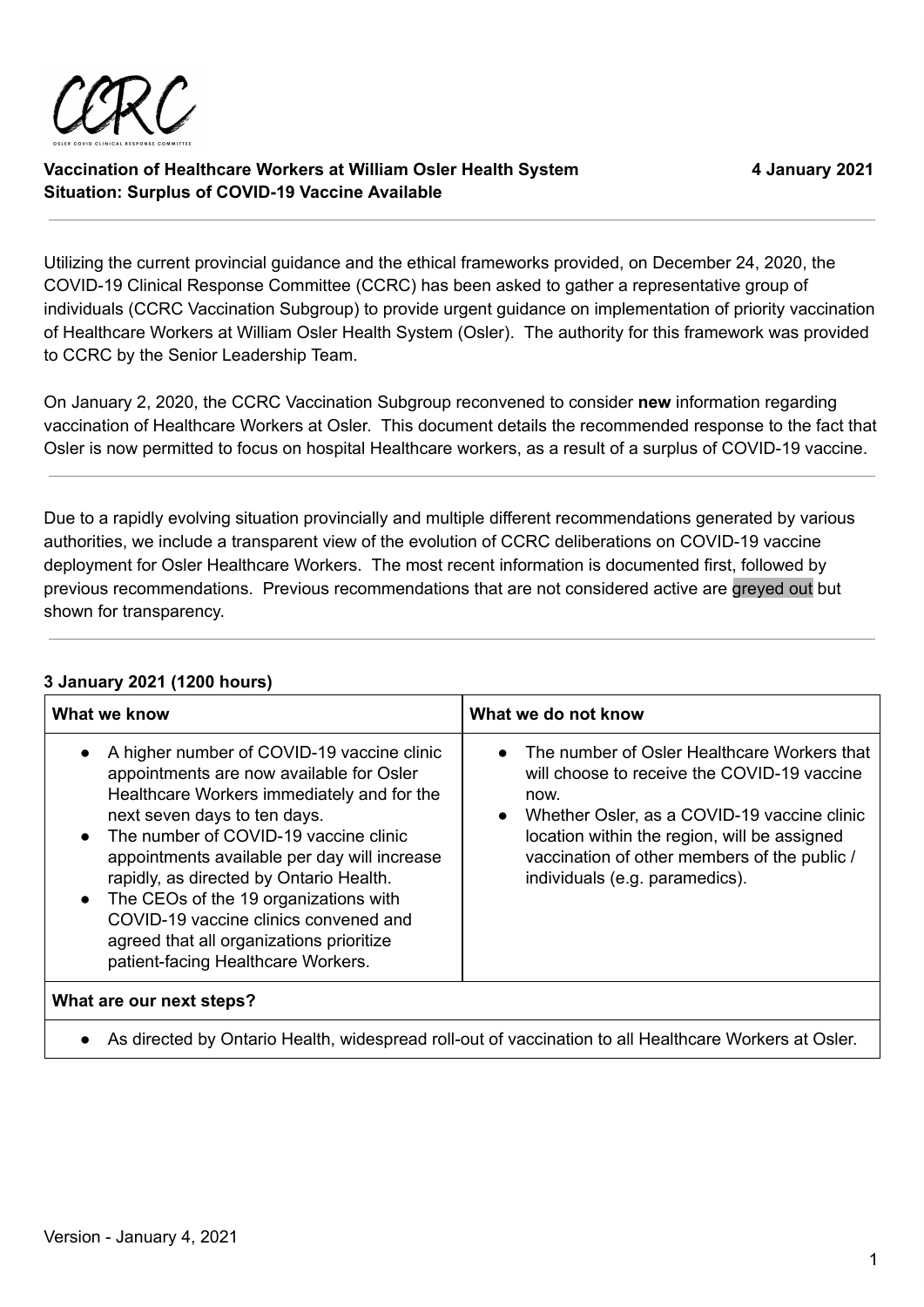

Utilizing the current provincial guidance and the ethical frameworks provided, on December 24, 2020, the COVID-19 Clinical Response Committee (CCRC) has been asked to gather a representative group of individuals (CCRC Vaccination Subgroup) to provide urgent guidance on implementation of priority vaccination of Healthcare Workers at William Osler Health System (Osler). The authority for this framework was provided to CCRC by the Senior Leadership Team.

On January 2, 2020, the CCRC Vaccination Subgroup reconvened to consider **new** information regarding vaccination of Healthcare Workers at Osler. This document details the recommended response to the fact that Osler is now permitted to focus on hospital Healthcare workers, as a result of a surplus of COVID-19 vaccine.

Due to a rapidly evolving situation provincially and multiple different recommendations generated by various authorities, we include a transparent view of the evolution of CCRC deliberations on COVID-19 vaccine deployment for Osler Healthcare Workers. The most recent information is documented first, followed by previous recommendations. Previous recommendations that are not considered active are greyed out but shown for transparency.

## **3 January 2021 (1200 hours)**

| What we know                                                                                                                                                                                                                                                                                                                                                                                                                                                                                                        | What we do not know                                                                                                                                                                                                                                                                 |
|---------------------------------------------------------------------------------------------------------------------------------------------------------------------------------------------------------------------------------------------------------------------------------------------------------------------------------------------------------------------------------------------------------------------------------------------------------------------------------------------------------------------|-------------------------------------------------------------------------------------------------------------------------------------------------------------------------------------------------------------------------------------------------------------------------------------|
| A higher number of COVID-19 vaccine clinic<br>$\bullet$<br>appointments are now available for Osler<br>Healthcare Workers immediately and for the<br>next seven days to ten days.<br>The number of COVID-19 vaccine clinic<br>$\bullet$<br>appointments available per day will increase<br>rapidly, as directed by Ontario Health.<br>The CEOs of the 19 organizations with<br>$\bullet$<br>COVID-19 vaccine clinics convened and<br>agreed that all organizations prioritize<br>patient-facing Healthcare Workers. | The number of Osler Healthcare Workers that<br>will choose to receive the COVID-19 vaccine<br>now.<br>Whether Osler, as a COVID-19 vaccine clinic<br>location within the region, will be assigned<br>vaccination of other members of the public /<br>individuals (e.g. paramedics). |
| What are our next steps?                                                                                                                                                                                                                                                                                                                                                                                                                                                                                            |                                                                                                                                                                                                                                                                                     |
| As directed by Ontario Health, widespread roll-out of vaccination to all Healthcare Workers at Osler.<br>$\bullet$                                                                                                                                                                                                                                                                                                                                                                                                  |                                                                                                                                                                                                                                                                                     |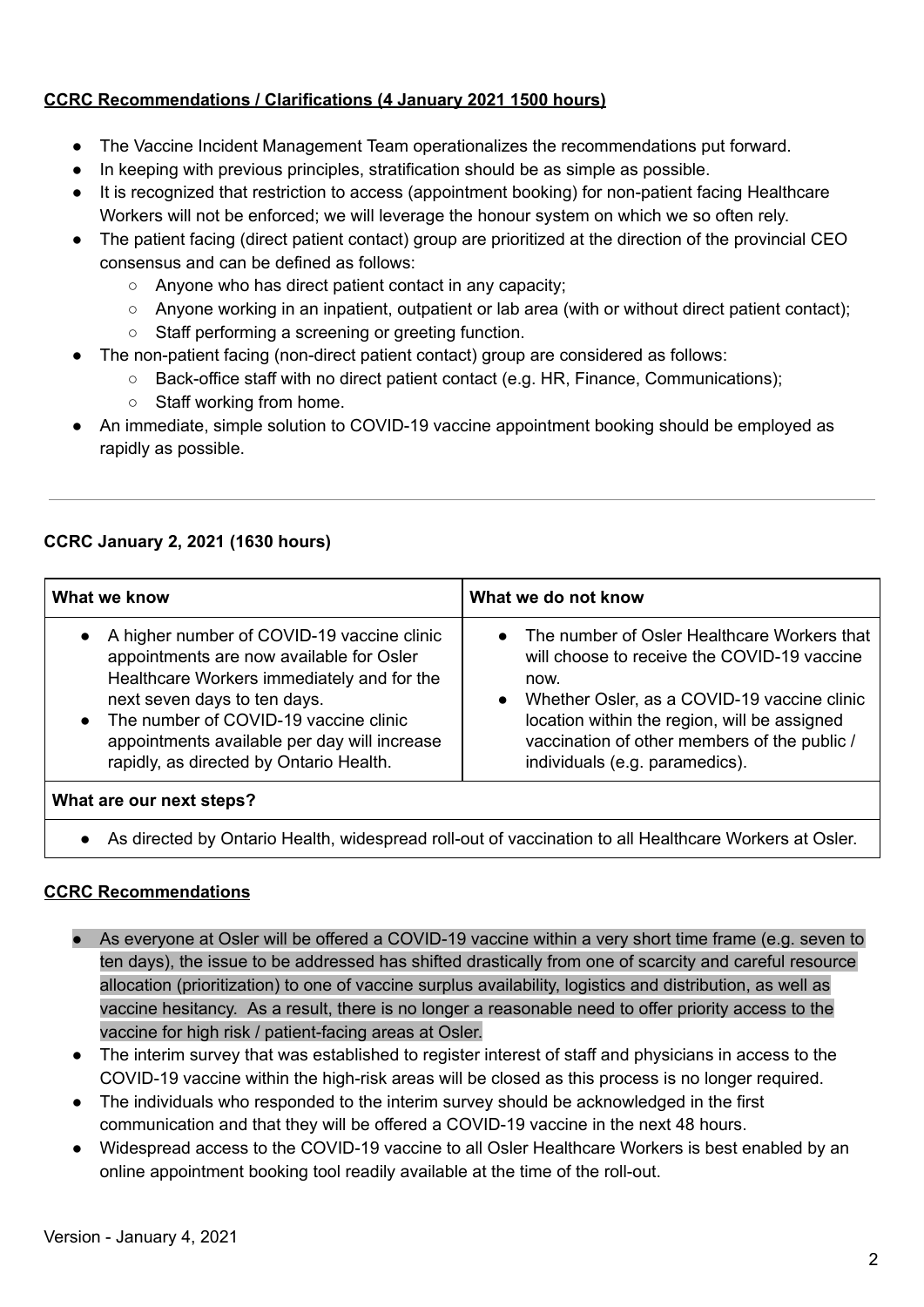## **CCRC Recommendations / Clarifications (4 January 2021 1500 hours)**

- The Vaccine Incident Management Team operationalizes the recommendations put forward.
- In keeping with previous principles, stratification should be as simple as possible.
- It is recognized that restriction to access (appointment booking) for non-patient facing Healthcare Workers will not be enforced; we will leverage the honour system on which we so often rely.
- The patient facing (direct patient contact) group are prioritized at the direction of the provincial CEO consensus and can be defined as follows:
	- Anyone who has direct patient contact in any capacity;
	- Anyone working in an inpatient, outpatient or lab area (with or without direct patient contact);
	- Staff performing a screening or greeting function.
- The non-patient facing (non-direct patient contact) group are considered as follows:
	- Back-office staff with no direct patient contact (e.g. HR, Finance, Communications);
	- Staff working from home.
- An immediate, simple solution to COVID-19 vaccine appointment booking should be employed as rapidly as possible.

## **CCRC January 2, 2021 (1630 hours)**

| What we know                                                                                                                                                                                                                                                                                                                       | What we do not know                                                                                                                                                                                                                                                                                |
|------------------------------------------------------------------------------------------------------------------------------------------------------------------------------------------------------------------------------------------------------------------------------------------------------------------------------------|----------------------------------------------------------------------------------------------------------------------------------------------------------------------------------------------------------------------------------------------------------------------------------------------------|
| A higher number of COVID-19 vaccine clinic<br>$\bullet$<br>appointments are now available for Osler<br>Healthcare Workers immediately and for the<br>next seven days to ten days.<br>The number of COVID-19 vaccine clinic<br>$\bullet$<br>appointments available per day will increase<br>rapidly, as directed by Ontario Health. | • The number of Osler Healthcare Workers that<br>will choose to receive the COVID-19 vaccine<br>now.<br>Whether Osler, as a COVID-19 vaccine clinic<br>$\bullet$<br>location within the region, will be assigned<br>vaccination of other members of the public /<br>individuals (e.g. paramedics). |
| What are our next steps?                                                                                                                                                                                                                                                                                                           |                                                                                                                                                                                                                                                                                                    |
|                                                                                                                                                                                                                                                                                                                                    |                                                                                                                                                                                                                                                                                                    |

As directed by Ontario Health, widespread roll-out of vaccination to all Healthcare Workers at Osler.

## **CCRC Recommendations**

- As everyone at Osler will be offered a COVID-19 vaccine within a very short time frame (e.g. seven to ten days), the issue to be addressed has shifted drastically from one of scarcity and careful resource allocation (prioritization) to one of vaccine surplus availability, logistics and distribution, as well as vaccine hesitancy. As a result, there is no longer a reasonable need to offer priority access to the vaccine for high risk / patient-facing areas at Osler.
- The interim survey that was established to register interest of staff and physicians in access to the COVID-19 vaccine within the high-risk areas will be closed as this process is no longer required.
- The individuals who responded to the interim survey should be acknowledged in the first communication and that they will be offered a COVID-19 vaccine in the next 48 hours.
- Widespread access to the COVID-19 vaccine to all Osler Healthcare Workers is best enabled by an online appointment booking tool readily available at the time of the roll-out.